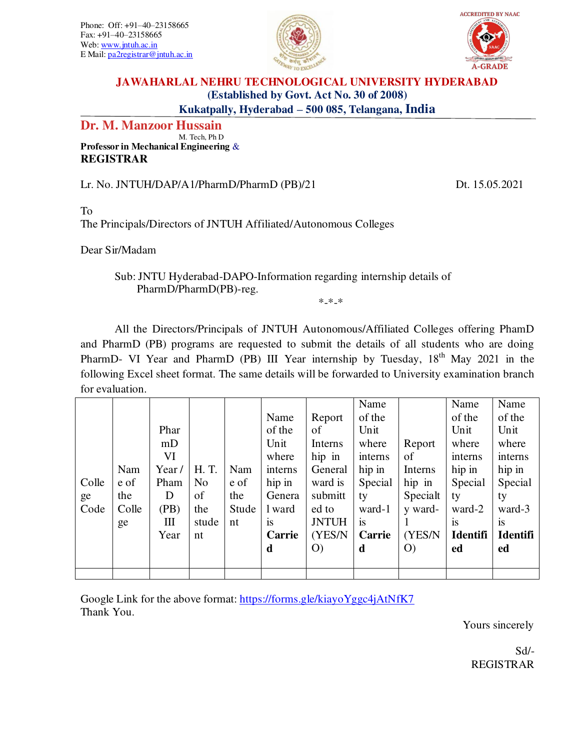Phone: Off: +91–40–23158665 Fax: +91–40–23158665 Web: [www.jntuh.ac.in](http://www.jntuh.ac.in/) E Mail[: pa2registrar@jntuh.ac.in](mailto:pa2registrar@jntuh.ac.in) 





## **JAWAHARLAL NEHRU TECHNOLOGICAL UNIVERSITY HYDERABAD (Established by Govt. Act No. 30 of 2008) Kukatpally, Hyderabad – 500 085, Telangana, India**

# **Dr. M. Manzoor Hussain**

 M. Tech, Ph D **Professor in Mechanical Engineering** & **REGISTRAR** 

Lr. No. JNTUH/DAP/A1/PharmD/PharmD (PB)/21 Dt. 15.05.2021

#### To

The Principals/Directors of JNTUH Affiliated/Autonomous Colleges

Dear Sir/Madam

## Sub: JNTU Hyderabad-DAPO-Information regarding internship details of PharmD/PharmD(PB)-reg.

\*-\*-\*

All the Directors/Principals of JNTUH Autonomous/Affiliated Colleges offering PhamD and PharmD (PB) programs are requested to submit the details of all students who are doing PharmD- VI Year and PharmD (PB) III Year internship by Tuesday, 18<sup>th</sup> May 2021 in the following Excel sheet format. The same details will be forwarded to University examination branch for evaluation.

|       |       |       |                |       |         |              | Name    |          | Name            | Name            |
|-------|-------|-------|----------------|-------|---------|--------------|---------|----------|-----------------|-----------------|
|       |       |       |                |       | Name    | Report       | of the  |          | of the          | of the          |
|       |       | Phar  |                |       | of the  | of           | Unit    |          | Unit            | Unit            |
|       |       | mD    |                |       | Unit    | Interns      | where   | Report   | where           | where           |
|       |       | VI    |                |       | where   | hip in       | interns | of       | interns         | interns         |
|       | Nam   | Year/ | H. T.          | Nam   | interns | General      | hip in  | Interns  | hip in          | hip in          |
| Colle | e of  | Pham  | N <sub>0</sub> | e of  | hip in  | ward is      | Special | hip in   | Special         | Special         |
| ge    | the   | D     | of             | the   | Genera  | submitt      | ty      | Specialt | ty              | ty              |
| Code  | Colle | (PB)  | the            | Stude | l ward  | ed to        | ward-1  | y ward-  | ward-2          | ward-3          |
|       | ge    | Ш     | stude          | nt    | 1S      | <b>JNTUH</b> | 1S      |          | <sup>is</sup>   | <b>1S</b>       |
|       |       | Year  | nt             |       | Carrie  | (YES/N)      | Carrie  | (YES/N)  | <b>Identifi</b> | <b>Identifi</b> |
|       |       |       |                |       | d       | O            | d       | O        | ed              | ed              |
|       |       |       |                |       |         |              |         |          |                 |                 |
|       |       |       |                |       |         |              |         |          |                 |                 |

Google Link for the above format:<https://forms.gle/kiayoYggc4jAtNfK7> Thank You.

Yours sincerely

Sd/- REGISTRAR